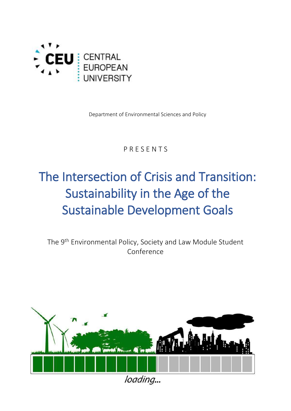

Department of Environmental Sciences and Policy

### P R E S E N T S

# The Intersection of Crisis and Transition: Sustainability in the Age of the Sustainable Development Goals

The 9 th Environmental Policy, Society and Law Module Student Conference



loading...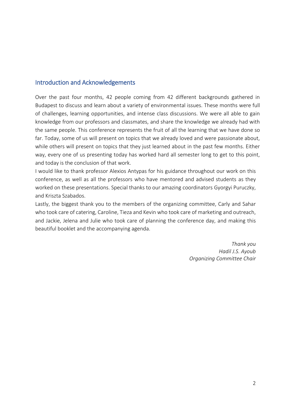#### Introduction and Acknowledgements

Over the past four months, 42 people coming from 42 different backgrounds gathered in Budapest to discuss and learn about a variety of environmental issues. These months were full of challenges, learning opportunities, and intense class discussions. We were all able to gain knowledge from our professors and classmates, and share the knowledge we already had with the same people. This conference represents the fruit of all the learning that we have done so far. Today, some of us will present on topics that we already loved and were passionate about, while others will present on topics that they just learned about in the past few months. Either way, every one of us presenting today has worked hard all semester long to get to this point, and today is the conclusion of that work.

I would like to thank professor Alexios Antypas for his guidance throughout our work on this conference, as well as all the professors who have mentored and advised students as they worked on these presentations. Special thanks to our amazing coordinators Gyorgyi Puruczky, and Kriszta Szabados.

Lastly, the biggest thank you to the members of the organizing committee, Carly and Sahar who took care of catering, Caroline, Tieza and Kevin who took care of marketing and outreach, and Jackie, Jelena and Julie who took care of planning the conference day, and making this beautiful booklet and the accompanying agenda.

> *Thank you Hadil J.S. Ayoub Organizing Committee Chair*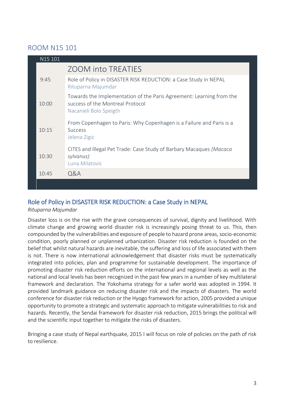### ROOM N15 101

| N15 101 |                                                                                                                                    |
|---------|------------------------------------------------------------------------------------------------------------------------------------|
|         | <b>ZOOM into TREATIES</b>                                                                                                          |
| 9:45    | Role of Policy in DISASTER RISK REDUCTION: a Case Study in NEPAL<br>Rituparna Majumdar                                             |
| 10:00   | Towards the Implementation of the Paris Agreement: Learning from the<br>success of the Montreal Protocol<br>Nacanieli Bolo Speigth |
| 10:15   | From Copenhagen to Paris: Why Copenhagen is a Failure and Paris is a<br><b>Success</b><br>Jelena Zigic                             |
| 10:30   | CITES and Illegal Pet Trade: Case Study of Barbary Macaques (Macaca<br>sylvanus)<br>Luna Milatovic                                 |
| 10:45   | Q&A                                                                                                                                |
|         |                                                                                                                                    |

### Role of Policy in DISASTER RISK REDUCTION: a Case Study in NEPAL

#### *Rituparna Majumdar*

Disaster loss is on the rise with the grave consequences of survival, dignity and livelihood. With climate change and growing world disaster risk is increasingly posing threat to us. This, then compounded by the vulnerabilities and exposure of people to hazard prone areas, socio-economic condition, poorly planned or unplanned urbanization. Disaster risk reduction is founded on the belief that whilst natural hazards are inevitable, the suffering and loss of life associated with them is not. There is now international acknowledgement that disaster risks must be systematically integrated into policies, plan and programme for sustainable development. The importance of promoting disaster risk reduction efforts on the international and regional levels as well as the national and local levels has been recognized in the past few years in a number of key multilateral framework and declaration. The Yokohama strategy for a safer world was adopted in 1994. It provided landmark guidance on reducing disaster risk and the impacts of disasters. The world conference for disaster risk reduction or the Hyogo framework for action, 2005 provided a unique opportunity to promote a strategic and systematic approach to mitigate vulnerabilities to risk and hazards. Recently, the Sendai framework for disaster risk reduction, 2015 brings the political will and the scientific input together to mitigate the risks of disasters.

Bringing a case study of Nepal earthquake, 2015 I will focus on role of policies on the path of risk to resilience.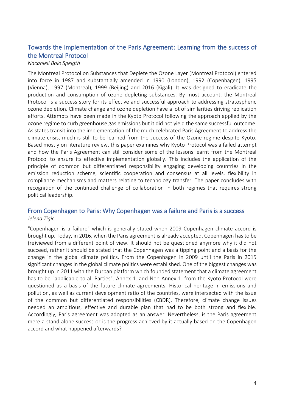### Towards the Implementation of the Paris Agreement: Learning from the success of the Montreal Protocol

#### *Nacanieli Bolo Speigth*

The Montreal Protocol on Substances that Deplete the Ozone Layer (Montreal Protocol) entered into force in 1987 and substantially amended in 1990 (London), 1992 (Copenhagen), 1995 (Vienna), 1997 (Montreal), 1999 (Beijing) and 2016 (Kigali). It was designed to eradicate the production and consumption of ozone depleting substances. By most account, the Montreal Protocol is a success story for its effective and successful approach to addressing stratospheric ozone depletion. Climate change and ozone depletion have a lot of similarities driving replication efforts. Attempts have been made in the Kyoto Protocol following the approach applied by the ozone regime to curb greenhouse gas emissions but it did not yield the same successful outcome. As states transit into the implementation of the much celebrated Paris Agreement to address the climate crisis, much is still to be learned from the success of the Ozone regime despite Kyoto. Based mostly on literature review, this paper examines why Kyoto Protocol was a failed attempt and how the Paris Agreement can still consider some of the lessons learnt from the Montreal Protocol to ensure its effective implementation globally. This includes the application of the principle of common but differentiated responsibility engaging developing countries in the emission reduction scheme, scientific cooperation and consensus at all levels, flexibility in compliance mechanisms and matters relating to technology transfer. The paper concludes with recognition of the continued challenge of collaboration in both regimes that requires strong political leadership.

#### From Copenhagen to Paris: Why Copenhagen was a failure and Paris is a success *Jelena Zigic*

"Copenhagen is a failure" which is generally stated when 2009 Copenhagen climate accord is brought up. Today, in 2016, when the Paris agreement is already accepted, Copenhagen has to be (re)viewed from a different point of view. It should not be questioned anymore why it did not succeed, rather it should be stated that the Copenhagen was a tipping point and a basis for the change in the global climate politics. From the Copenhagen in 2009 until the Paris in 2015 significant changes in the global climate politics were established. One of the biggest changes was brought up in 2011 with the Durban platform which founded statement that a climate agreement has to be "applicable to all Parties". Annex 1. and Non-Annex 1. from the Kyoto Protocol were questioned as a basis of the future climate agreements. Historical heritage in emissions and pollution, as well as current development ratio of the countries, were intersected with the issue of the common but differentiated responsibilities (CBDR). Therefore, climate change issues needed an ambitious, effective and durable plan that had to be both strong and flexible. Accordingly, Paris agreement was adopted as an answer. Nevertheless, is the Paris agreement mere a stand-alone success or is the progress achieved by it actually based on the Copenhagen accord and what happened afterwards?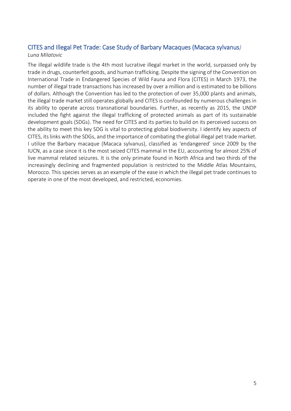#### CITES and Illegal Pet Trade: Case Study of Barbary Macaques (Macaca sylvanus*) Luna Milatovic*

The illegal wildlife trade is the 4th most lucrative illegal market in the world, surpassed only by trade in drugs, counterfeit goods, and human trafficking. Despite the signing of the Convention on International Trade in Endangered Species of Wild Fauna and Flora (CITES) in March 1973, the number of illegal trade transactions has increased by over a million and is estimated to be billions of dollars. Although the Convention has led to the protection of over 35,000 plants and animals, the illegal trade market still operates globally and CITES is confounded by numerous challenges in its ability to operate across transnational boundaries. Further, as recently as 2015, the UNDP included the fight against the illegal trafficking of protected animals as part of its sustainable development goals (SDGs). The need for CITES and its parties to build on its perceived success on the ability to meet this key SDG is vital to protecting global biodiversity. I identify key aspects of CITES, its links with the SDGs, and the importance of combating the global illegal pet trade market. I utilize the Barbary macaque (Macaca sylvanus), classified as 'endangered' since 2009 by the IUCN, as a case since it is the most seized CITES mammal in the EU, accounting for almost 25% of live mammal related seizures. It is the only primate found in North Africa and two thirds of the increasingly declining and fragmented population is restricted to the Middle Atlas Mountains, Morocco. This species serves as an example of the ease in which the illegal pet trade continues to operate in one of the most developed, and restricted, economies.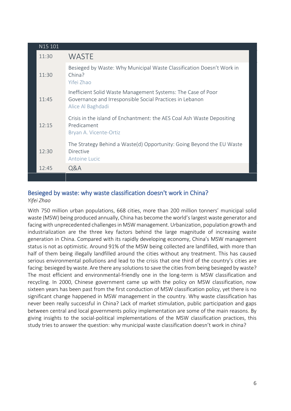| N15 101 |                                                                                                                                               |
|---------|-----------------------------------------------------------------------------------------------------------------------------------------------|
| 11:30   | <b>WASTE</b>                                                                                                                                  |
| 11:30   | Besieged by Waste: Why Municipal Waste Classification Doesn't Work in<br>China?<br>Yifei Zhao                                                 |
| 11:45   | Inefficient Solid Waste Management Systems: The Case of Poor<br>Governance and Irresponsible Social Practices in Lebanon<br>Alice Al Baghdadi |
| 12:15   | Crisis in the island of Enchantment: the AES Coal Ash Waste Depositing<br>Predicament<br>Bryan A. Vicente-Ortiz                               |
| 12:30   | The Strategy Behind a Waste(d) Opportunity: Going Beyond the EU Waste<br><b>Directive</b><br>Antoine Lucic                                    |
| 12:45   | Q&A                                                                                                                                           |
|         |                                                                                                                                               |

### Besieged by waste: why waste classification doesn't work in China?

*Yifei Zhao*

With 750 million urban populations, 668 cities, more than 200 million tonners' municipal solid waste (MSW) being produced annually, China has become the world's largest waste generator and facing with unprecedented challenges in MSW management. Urbanization, population growth and industrialization are the three key factors behind the large magnitude of increasing waste generation in China. Compared with its rapidly developing economy, China's MSW management status is not as optimistic. Around 91% of the MSW being collected are landfilled, with more than half of them being illegally landfilled around the cities without any treatment. This has caused serious environmental pollutions and lead to the crisis that one third of the country's cities are facing: besieged by waste. Are there any solutions to save the cities from being besieged by waste? The most efficient and environmental-friendly one in the long-term is MSW classification and recycling. In 2000, Chinese government came up with the policy on MSW classification, now sixteen years has been past from the first conduction of MSW classification policy, yet there is no significant change happened in MSW management in the country. Why waste classification has never been really successful in China? Lack of market stimulation, public participation and gaps between central and local governments policy implementation are some of the main reasons. By giving insights to the social-political implementations of the MSW classification practices, this study tries to answer the question: why municipal waste classification doesn't work in china?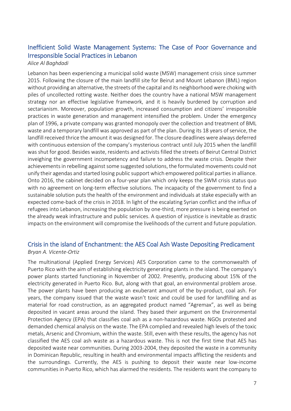### Inefficient Solid Waste Management Systems: The Case of Poor Governance and Irresponsible Social Practices in Lebanon

#### *Alice Al Baghdadi*

Lebanon has been experiencing a municipal solid waste (MSW) management crisis since summer 2015. Following the closure of the main landfill site for Beirut and Mount Lebanon (BML) region without providing an alternative, the streets of the capital and its neighborhood were choking with piles of uncollected rotting waste. Neither does the country have a national MSW management strategy nor an effective legislative framework, and it is heavily burdened by corruption and sectarianism. Moreover, population growth, increased consumption and citizens' irresponsible practices in waste generation and management intensified the problem. Under the emergency plan of 1996, a private company was granted monopoly over the collection and treatment of BML waste and a temporary landfill was approved as part of the plan. During its 18 years of service, the landfill received thrice the amount it was designed for. The closure deadlines were always deferred with continuous extension of the company's mysterious contract until July 2015 when the landfill was shut for good. Besides waste, residents and activists filled the streets of Beirut Central District inveighing the government incompetency and failure to address the waste crisis. Despite their achievements in rebelling against some suggested solutions, the formulated movements could not unify their agendas and started losing public support which empowered political parties in alliance. Onto 2016, the cabinet decided on a four-year plan which only keeps the SWM crisis status quo with no agreement on long-term effective solutions. The incapacity of the government to find a sustainable solution puts the health of the environment and individuals at stake especially with an expected come-back of the crisis in 2018. In light of the escalating Syrian conflict and the influx of refugees into Lebanon, increasing the population by one-third, more pressure is being exerted on the already weak infrastructure and public services. A question of injustice is inevitable as drastic impacts on the environment will compromise the livelihoods of the current and future population.

#### Crisis in the island of Enchantment: the AES Coal Ash Waste Depositing Predicament *Bryan A. Vicente-Ortiz*

The multinational (Applied Energy Services) AES Corporation came to the commonwealth of Puerto Rico with the aim of establishing electricity generating plants in the island. The company's power plants started functioning in November of 2002. Presently, producing about 15% of the electricity generated in Puerto Rico. But, along with that goal, an environmental problem arose. The power plants have been producing an exuberant amount of the by-product, coal ash. For years, the company issued that the waste wasn't toxic and could be used for landfilling and as material for road construction, as an aggregated product named "Agremax", as well as being deposited in vacant areas around the island. They based their argument on the Environmental Protection Agency (EPA) that classifies coal ash as a non-hazardous waste. NGOs protested and demanded chemical analysis on the waste. The EPA complied and revealed high levels of the toxic metals, Arsenic and Chromium, within the waste. Still, even with these results, the agency has not classified the AES coal ash waste as a hazardous waste. This is not the first time that AES has deposited waste near communities. During 2003-2004, they deposited the waste in a community in Dominican Republic, resulting in health and environmental impacts afflicting the residents and the surroundings. Currently, the AES is pushing to deposit their waste near low-income communities in Puerto Rico, which has alarmed the residents. The residents want the company to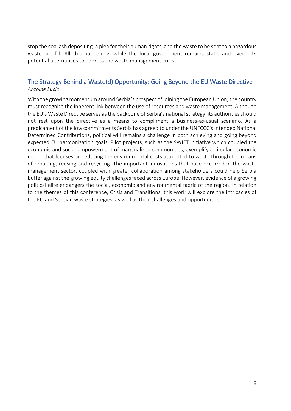stop the coal ash depositing, a plea for their human rights, and the waste to be sent to a hazardous waste landfill. All this happening, while the local government remains static and overlooks potential alternatives to address the waste management crisis.

#### The Strategy Behind a Waste(d) Opportunity: Going Beyond the EU Waste Directive *Antoine Lucic*

With the growing momentum around Serbia's prospect of joining the European Union, the country must recognize the inherent link between the use of resources and waste management. Although the EU's Waste Directive serves as the backbone of Serbia's national strategy, its authorities should not rest upon the directive as a means to compliment a business-as-usual scenario. As a predicament of the low commitments Serbia has agreed to under the UNFCCC's Intended National Determined Contributions, political will remains a challenge in both achieving and going beyond expected EU harmonization goals. Pilot projects, such as the SWIFT initiative which coupled the economic and social empowerment of marginalized communities, exemplify a circular economic model that focuses on reducing the environmental costs attributed to waste through the means of repairing, reusing and recycling. The important innovations that have occurred in the waste management sector, coupled with greater collaboration among stakeholders could help Serbia buffer against the growing equity challenges faced across Europe. However, evidence of a growing political elite endangers the social, economic and environmental fabric of the region. In relation to the themes of this conference, Crisis and Transitions, this work will explore the intricacies of the EU and Serbian waste strategies, as well as their challenges and opportunities.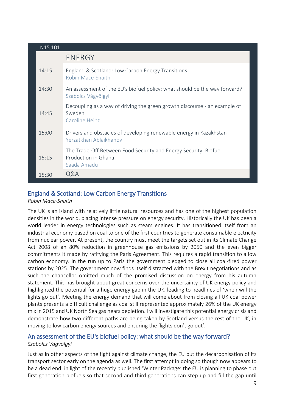| N15 101 |                                                                                                        |
|---------|--------------------------------------------------------------------------------------------------------|
|         | <b>ENERGY</b>                                                                                          |
| 14:15   | England & Scotland: Low Carbon Energy Transitions<br>Robin Mace-Snaith                                 |
| 14:30   | An assessment of the EU's biofuel policy: what should be the way forward?<br>Szabolcs Vágvölgyi        |
| 14:45   | Decoupling as a way of driving the green growth discourse - an example of<br>Sweden<br>Caroline Heinz  |
| 15:00   | Drivers and obstacles of developing renewable energy in Kazakhstan<br>Yerzatkhan Ablaikhanov           |
| 15:15   | The Trade-Off Between Food Security and Energy Security: Biofuel<br>Production in Ghana<br>Saada Amadu |
| 15:30   | Q&A                                                                                                    |

### England & Scotland: Low Carbon Energy Transitions

#### *Robin Mace-Snaith*

The UK is an island with relatively little natural resources and has one of the highest population densities in the world, placing intense pressure on energy security. Historically the UK has been a world leader in energy technologies such as steam engines. It has transitioned itself from an industrial economy based on coal to one of the first countries to generate consumable electricity from nuclear power. At present, the country must meet the targets set out in its Climate Change Act 2008 of an 80% reduction in greenhouse gas emissions by 2050 and the even bigger commitments it made by ratifying the Paris Agreement. This requires a rapid transition to a low carbon economy. In the run up to Paris the government pledged to close all coal-fired power stations by 2025. The government now finds itself distracted with the Brexit negotiations and as such the chancellor omitted much of the promised discussion on energy from his autumn statement. This has brought about great concerns over the uncertainty of UK energy policy and highlighted the potential for a huge energy gap in the UK, leading to headlines of 'when will the lights go out'. Meeting the energy demand that will come about from closing all UK coal power plants presents a difficult challenge as coal still represented approximately 26% of the UK energy mix in 2015 and UK North Sea gas nears depletion. I will investigate this potential energy crisis and demonstrate how two different paths are being taken by Scotland versus the rest of the UK, in moving to low carbon energy sources and ensuring the 'lights don't go out'.

#### An assessment of the EU's biofuel policy: what should be the way forward? *Szabolcs Vágvölgyi*

Just as in other aspects of the fight against climate change, the EU put the decarbonisation of its transport sector early on the agenda as well. The first attempt in doing so though now appears to be a dead end: in light of the recently published 'Winter Package' the EU is planning to phase out first generation biofuels so that second and third generations can step up and fill the gap until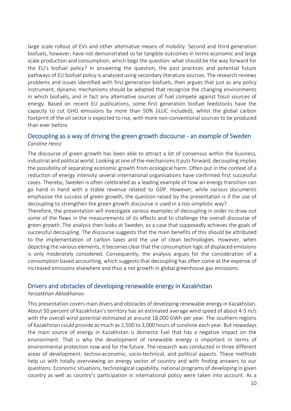large scale rollout of EVs and other alternative means of mobility. Second and third generation biofuels, however, have not demonstrated so far tangible outcomes in terms economic and large scale production and consumption, which begs the question: what should be the way forward for the EU's biofuel policy? In answering the question, the past practices and potential future pathways of EU biofuel policy is analysed using secondary literature sources. The research reviews problems and issues identified with first generation biofuels, then argues that just as any policy instrument, dynamic mechanisms should be adopted that recognize the changing environments in which biofuels, and in fact any alternative sources of fuel compete against fossil sources of energy. Based on recent EU publications, some first generation biofuel feedstocks have the capacity to cut GHG emissions by more than 50% (iLUC included), whilst the global carbon footprint of the oil sector is expected to rise, with more non-conventional sources to be produced than ever before.

#### Decoupling as a way of driving the green growth discourse - an example of Sweden *Caroline Heinz*

The discourse of green growth has been able to attract a lot of consensus within the business, industrial and political world. Looking at one of the mechanisms it puts forward, decoupling implies the possibility of separating economic growth from ecological harm. Often put in the context of a reduction of energy intensity several international organisations have confirmed first successful cases. Thereby, Sweden is often celebrated as a leading example of how an energy transition can go hand in hand with a stable revenue related to GDP. However, while various documents emphasise the success of green growth, the question raised by the presentation is if the use of decoupling to strengthen the green growth discourse is used in a too simplistic way?

Therefore, the presentation will investigate various examples of decoupling in order to draw out some of the flaws in the measurements of its effects and to challenge the overall discourse of green growth. The analysis then looks at Sweden, as a case that supposedly achieves the goals of successful decoupling. The discourse suggests that the main benefits of this should be attributed to the implementation of carbon taxes and the use of clean technologies. However, when depicting the various elements, it becomes clear that the consumption logic of displaced emissions is only moderately considered. Consequently, the analysis argues for the consideration of a consumption based accounting, which suggests that decoupling has often come at the expense of increased emissions elsewhere and thus a net growth in global greenhouse gas emissions.

#### Drivers and obstacles of developing renewable energy in Kazakhstan

#### *Yerzatkhan Ablaikhanov*

This presentation covers main divers and obstacles of developing renewable energy in Kazakhstan. About 50 percent of Kazakhstan's territory has an estimated average wind speed of about 4-5 m/s with the overall wind potential estimated at around 18,000 GWh per year. The southern regions of Kazakhstan could provide as much as 2,500 to 3,000 hours of sunshine each year. But nowadays the main source of energy in Kazakhstan is domestic fuel that has a negative impact on the environment. That is why the development of renewable energy is important in terms of environmental protection now and for the future. The research was conducted in three different areas of development: techno-economic, socio-technical, and political aspects. These methods help us with totally overviewing an energy sector of country and with finding answers to our questions. Economic situations, technological capability, national programs of developing in given country as well as country's participation in international policy were taken into account. As a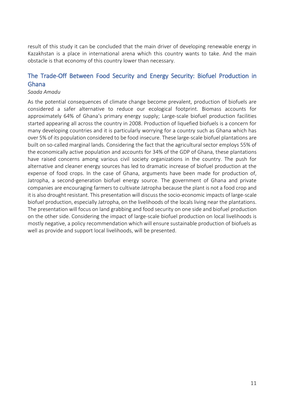result of this study it can be concluded that the main driver of developing renewable energy in Kazakhstan is a place in international arena which this country wants to take. And the main obstacle is that economy of this country lower than necessary.

### The Trade-Off Between Food Security and Energy Security: Biofuel Production in Ghana

#### *Saada Amadu*

As the potential consequences of climate change become prevalent, production of biofuels are considered a safer alternative to reduce our ecological footprint. Biomass accounts for approximately 64% of Ghana's primary energy supply; Large-scale biofuel production facilities started appearing all across the country in 2008. Production of liquefied biofuels is a concern for many developing countries and it is particularly worrying for a country such as Ghana which has over 5% of its population considered to be food insecure. These large-scale biofuel plantations are built on so-called marginal lands. Considering the fact that the agricultural sector employs 55% of the economically active population and accounts for 34% of the GDP of Ghana, these plantations have raised concerns among various civil society organizations in the country. The push for alternative and cleaner energy sources has led to dramatic increase of biofuel production at the expense of food crops. In the case of Ghana, arguments have been made for production of, Jatropha, a second-generation biofuel energy source. The government of Ghana and private companies are encouraging farmers to cultivate Jatropha because the plant is not a food crop and it is also drought resistant. This presentation will discuss the socio-economic impacts of large-scale biofuel production, especially Jatropha, on the livelihoods of the locals living near the plantations. The presentation will focus on land grabbing and food security on one side and biofuel production on the other side. Considering the impact of large-scale biofuel production on local livelihoods is mostly negative, a policy recommendation which will ensure sustainable production of biofuels as well as provide and support local livelihoods, will be presented.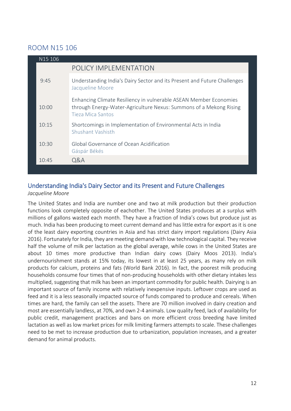### ROOM N15 106

| N <sub>15</sub> 106 |                                                                                                                                                              |
|---------------------|--------------------------------------------------------------------------------------------------------------------------------------------------------------|
|                     | POLICY IMPLEMENTATION                                                                                                                                        |
| 9:45                | Understanding India's Dairy Sector and its Present and Future Challenges<br>Jacqueline Moore                                                                 |
| 10:00               | Enhancing Climate Resiliency in vulnerable ASEAN Member Economies<br>through Energy-Water-Agriculture Nexus: Summons of a Mekong Rising<br>Tieza Mica Santos |
| 10:15               | Shortcomings in Implementation of Environmental Acts in India<br><b>Shushant Vashisth</b>                                                                    |
| 10:30               | Global Governance of Ocean Acidification<br>Gáspár Békés                                                                                                     |
| 10:45               | Q&A                                                                                                                                                          |

## Understanding India's Dairy Sector and its Present and Future Challenges

#### *Jacqueline Moore*

The United States and India are number one and two at milk production but their production functions look completely opposite of eachother. The United States produces at a surplus with millions of gallons wasted each month. They have a fraction of India's cows but produce just as much. India has been producing to meet current demand and has little extra for export as it is one of the least dairy exporting countries in Asia and has strict dairy import regulations (Dairy Asia 2016). Fortunately for India, they are meeting demand with low technological capital. They receive half the volume of milk per lactation as the global average, while cows in the United States are about 10 times more productive than Indian dairy cows (Dairy Moos 2013). India's undernourishment stands at 15% today, its lowest in at least 25 years, as many rely on milk products for calcium, proteins and fats (World Bank 2016). In fact, the poorest milk producing households consume four times that of non-producing households with other dietary intakes less multiplied, suggesting that milk has been an important commodity for public health. Dairying is an important source of family income with relatively inexpensive inputs. Leftover crops are used as feed and it is a less seasonally impacted source of funds compared to produce and cereals. When times are hard, the family can sell the assets. There are 70 million involved in dairy creation and most are essentially landless, at 70%, and own 2-4 animals. Low quality feed, lack of availability for public credit, management practices and bans on more efficient cross breeding have limited lactation as well as low market prices for milk limiting farmers attempts to scale. These challenges need to be met to increase production due to urbanization, population increases, and a greater demand for animal products.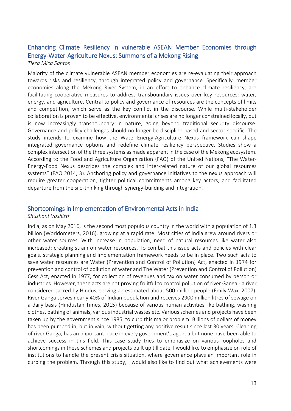### Enhancing Climate Resiliency in vulnerable ASEAN Member Economies through Energy-Water-Agriculture Nexus: Summons of a Mekong Rising

#### *Tieza Mica Santos*

Majority of the climate vulnerable ASEAN member economies are re-evaluating their approach towards risks and resiliency, through integrated policy and governance. Specifically, member economies along the Mekong River System, in an effort to enhance climate resiliency, are facilitating cooperative measures to address transboundary issues over key resources: water, energy, and agriculture. Central to policy and governance of resources are the concepts of limits and competition, which serve as the key conflict in the discourse. While multi-stakeholder collaboration is proven to be effective, environmental crises are no longer constrained locally, but is now increasingly transboundary in nature, going beyond traditional security discourse. Governance and policy challenges should no longer be discipline-based and sector-specific. The study intends to examine how the Water-Energy-Agriculture Nexus framework can shape integrated governance options and redefine climate resiliency perspective. Studies show a complex intersection of the three systems as made apparent in the case of the Mekong ecosystem. According to the Food and Agriculture Organization (FAO) of the United Nations, "The Water-Energy-Food Nexus describes the complex and inter-related nature of our global resources systems" (FAO 2014, 3). Anchoring policy and governance initiatives to the nexus approach will require greater cooperation, tighter political commitments among key actors, and facilitated departure from the silo-thinking through synergy-building and integration.

#### Shortcomings in Implementation of Environmental Acts in India

#### *Shushant Vashisth*

India, as on May 2016, is the second most populous country in the world with a population of 1.3 billion (Worldometers, 2016), growing at a rapid rate. Most cities of India grew around rivers or other water sources. With increase in population, need of natural resources like water also increased; creating strain on water resources. To combat this issue acts and policies with clear goals, strategic planning and implementation framework needs to be in place. Two such acts to save water resources are Water (Prevention and Control of Pollution) Act, enacted in 1974 for prevention and control of pollution of water and The Water (Prevention and Control of Pollution) Cess Act, enacted in 1977, for collection of revenues and tax on water consumed by person or industries. However, these acts are not proving fruitful to control pollution of river Ganga - a river considered sacred by Hindus, serving an estimated about 500 million people (Emily Wax, 2007). River Ganga serves nearly 40% of Indian population and receives 2900 million litres of sewage on a daily basis (Hindustan Times, 2015) because of various human activities like bathing, washing clothes, bathing of animals, various industrial wastes etc. Various schemes and projects have been taken up by the government since 1985, to curb this major problem. Billions of dollars of money has been pumped in, but in vain, without getting any positive result since last 30 years. Cleaning of river Ganga, has an important place in every government's agenda but none have been able to achieve success in this field. This case study tries to emphasize on various loopholes and shortcomings in these schemes and projects built up till date. I would like to emphasize on role of institutions to handle the present crisis situation, where governance plays an important role in curbing the problem. Through this study, I would also like to find out what achievements were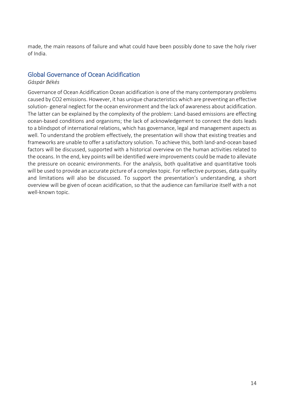made, the main reasons of failure and what could have been possibly done to save the holy river of India.

#### Global Governance of Ocean Acidification

#### *Gáspár Békés*

Governance of Ocean Acidification Ocean acidification is one of the many contemporary problems caused by CO2 emissions. However, it has unique characteristics which are preventing an effective solution- general neglect for the ocean environment and the lack of awareness about acidification. The latter can be explained by the complexity of the problem: Land-based emissions are effecting ocean-based conditions and organisms; the lack of acknowledgement to connect the dots leads to a blindspot of international relations, which has governance, legal and management aspects as well. To understand the problem effectively, the presentation will show that existing treaties and frameworks are unable to offer a satisfactory solution. To achieve this, both land-and-ocean based factors will be discussed, supported with a historical overview on the human activities related to the oceans. In the end, key points will be identified were improvements could be made to alleviate the pressure on oceanic environments. For the analysis, both qualitative and quantitative tools will be used to provide an accurate picture of a complex topic. For reflective purposes, data quality and limitations will also be discussed. To support the presentation's understanding, a short overview will be given of ocean acidification, so that the audience can familiarize itself with a not well-known topic.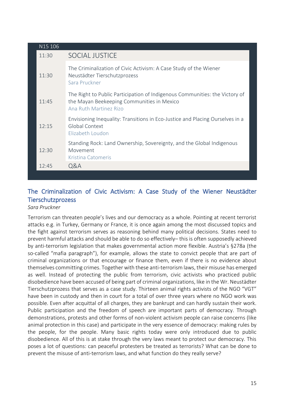| N15 106 |                                                                                                                                                     |
|---------|-----------------------------------------------------------------------------------------------------------------------------------------------------|
| 11:30   | <b>SOCIAL JUSTICE</b>                                                                                                                               |
| 11:30   | The Criminalization of Civic Activism: A Case Study of the Wiener<br>Neustädter Tierschutzprozess<br>Sara Pruckner                                  |
| 11:45   | The Right to Public Participation of Indigenous Communities: the Victory of<br>the Mayan Beekeeping Communities in Mexico<br>Ana Ruth Martinez Rizo |
| 12:15   | Envisioning Inequality: Transitions in Eco-Justice and Placing Ourselves in a<br>Global Context<br>Elizabeth Loudon                                 |
| 12:30   | Standing Rock: Land Ownership, Sovereignty, and the Global Indigenous<br>Movement<br>Kristina Catomeris                                             |
| 12:45   | Q&A                                                                                                                                                 |
|         |                                                                                                                                                     |

### The Criminalization of Civic Activism: A Case Study of the Wiener Neustädter Tierschutzprozess

#### *Sara Pruckner*

Terrorism can threaten people's lives and our democracy as a whole. Pointing at recent terrorist attacks e.g. in Turkey, Germany or France, it is once again among the most discussed topics and the fight against terrorism serves as reasoning behind many political decisions. States need to prevent harmful attacks and should be able to do so effectively– this is often supposedly achieved by anti-terrorism legislation that makes governmental action more flexible. Austria's §278a (the so-called "mafia paragraph"), for example, allows the state to convict people that are part of criminal organizations or that encourage or finance them, even if there is no evidence about themselves committing crimes. Together with these anti-terrorism laws, their misuse has emerged as well. Instead of protecting the public from terrorism, civic activists who practiced public disobedience have been accused of being part of criminal organizations, like in the Wr. Neustädter Tierschutzprozess that serves as a case study. Thirteen animal rights activists of the NGO "VGT" have been in custody and then in court for a total of over three years where no NGO work was possible. Even after acquittal of all charges, they are bankrupt and can hardly sustain their work. Public participation and the freedom of speech are important parts of democracy. Through demonstrations, protests and other forms of non-violent activism people can raise concerns (like animal protection in this case) and participate in the very essence of democracy: making rules by the people, for the people. Many basic rights today were only introduced due to public disobedience. All of this is at stake through the very laws meant to protect our democracy. This poses a lot of questions: can peaceful protesters be treated as terrorists? What can be done to prevent the misuse of anti-terrorism laws, and what function do they really serve?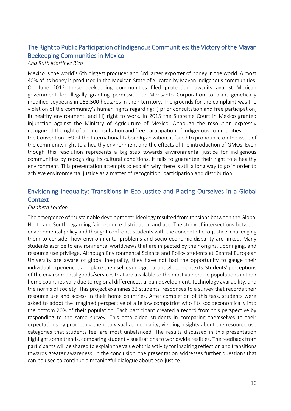### The Right to Public Participation of Indigenous Communities: the Victory of the Mayan Beekeeping Communities in Mexico

#### *Ana Ruth Martinez Rizo*

Mexico is the world's 6th biggest producer and 3rd larger exporter of honey in the world. Almost 40% of its honey is produced in the Mexican State of Yucatan by Mayan indigenous communities. On June 2012 these beekeeping communities filed protection lawsuits against Mexican government for illegally granting permission to Monsanto Corporation to plant genetically modified soybeans in 253,500 hectares in their territory. The grounds for the complaint was the violation of the community's human rights regarding: i) prior consultation and free participation, ii) healthy environment, and iii) right to work. In 2015 the Supreme Court in Mexico granted injunction against the Ministry of Agriculture of Mexico. Although the resolution expressly recognized the right of prior consultation and free participation of indigenous communities under the Convention 169 of the International Labor Organization, it failed to pronounce on the issue of the community right to a healthy environment and the effects of the introduction of GMOs. Even though this resolution represents a big step towards environmental justice for indigenous communities by recognizing its cultural conditions, it fails to guarantee their right to a healthy environment. This presentation attempts to explain why there is still a long way to go in order to achieve environmental justice as a matter of recognition, participation and distribution.

### Envisioning Inequality: Transitions in Eco-Justice and Placing Ourselves in a Global **Context**

#### *Elizabeth Loudon*

The emergence of "sustainable development" ideology resulted from tensions between the Global North and South regarding fair resource distribution and use. The study of intersections between environmental policy and thought confronts students with the concept of eco-justice, challenging them to consider how environmental problems and socio-economic disparity are linked. Many students ascribe to environmental worldviews that are impacted by their origins, upbringing, and resource use privilege. Although Environmental Science and Policy students at Central European University are aware of global inequality, they have not had the opportunity to gauge their individual experiences and place themselves in regional and global contexts. Students' perceptions of the environmental goods/services that are available to the most vulnerable populations in their home countries vary due to regional differences, urban development, technology availability, and the norms of society. This project examines 32 students' responses to a survey that records their resource use and access in their home countries. After completion of this task, students were asked to adopt the imagined perspective of a fellow compatriot who fits socioeconomically into the bottom 20% of their population. Each participant created a record from this perspective by responding to the same survey. This data aided students in comparing themselves to their expectations by prompting them to visualize inequality, yielding insights about the resource use categories that students feel are most unbalanced. The results discussed in this presentation highlight some trends, comparing student visualizations to worldwide realities. The feedback from participants will be shared to explain the value of this activity for inspiring reflection and transitions towards greater awareness. In the conclusion, the presentation addresses further questions that can be used to continue a meaningful dialogue about eco-justice.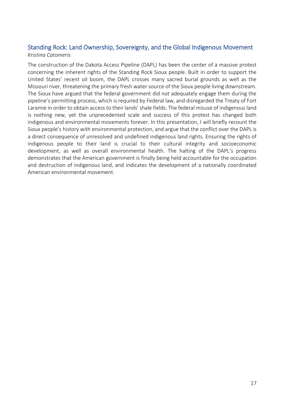### Standing Rock: Land Ownership, Sovereignty, and the Global Indigenous Movement *Kristina Catomeris*

The construction of the Dakota Access Pipeline (DAPL) has been the center of a massive protest concerning the inherent rights of the Standing Rock Sioux people. Built in order to support the United States' recent oil boom, the DAPL crosses many sacred burial grounds as well as the Missouri river, threatening the primary fresh water source of the Sioux people living downstream. The Sioux have argued that the federal government did not adequately engage them during the pipeline's permitting process, which is required by Federal law, and disregarded the Treaty of Fort Laramie in order to obtain access to their lands' shale fields. The federal misuse of indigenous land is nothing new, yet the unprecedented scale and success of this protest has changed both indigenous and environmental movements forever. In this presentation, I will briefly recount the Sioux people's history with environmental protection, and argue that the conflict over the DAPL is a direct consequence of unresolved and undefined indigenous land rights. Ensuring the rights of indigenous people to their land is crucial to their cultural integrity and socioeconomic development, as well as overall environmental health. The halting of the DAPL's progress demonstrates that the American government is finally being held accountable for the occupation and destruction of indigenous land, and indicates the development of a nationally coordinated American environmental movement.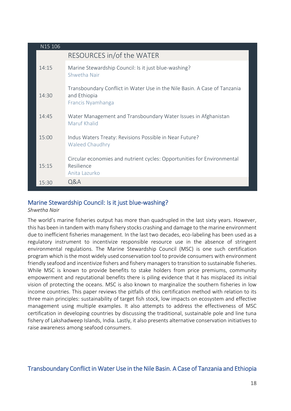| N15 106 |                                                                                                                |
|---------|----------------------------------------------------------------------------------------------------------------|
|         | RESOURCES in/of the WATER                                                                                      |
| 14:15   | Marine Stewardship Council: Is it just blue-washing?<br>Shwetha Nair                                           |
| 14:30   | Transboundary Conflict in Water Use in the Nile Basin. A Case of Tanzania<br>and Ethiopia<br>Francis Nyamhanga |
| 14:45   | Water Management and Transboundary Water Issues in Afghanistan<br>Maruf Khalid                                 |
| 15:00   | Indus Waters Treaty: Revisions Possible in Near Future?<br><b>Waleed Chaudhry</b>                              |
| 15:15   | Circular economies and nutrient cycles: Opportunities for Environmental<br>Resilience<br>Anita Lazurko         |
| 15:30   | Q&A                                                                                                            |

### Marine Stewardship Council: Is it just blue-washing?

*Shwetha Nair*

The world's marine fisheries output has more than quadrupled in the last sixty years. However, this has been in tandem with many fishery stocks crashing and damage to the marine environment due to inefficient fisheries management. In the last two decades, eco-labeling has been used as a regulatory instrument to incentivize responsible resource use in the absence of stringent environmental regulations. The Marine Stewardship Council (MSC) is one such certification program which is the most widely used conservation tool to provide consumers with environment friendly seafood and incentivize fishers and fishery managers to transition to sustainable fisheries. While MSC is known to provide benefits to stake holders from price premiums, community empowerment and reputational benefits there is piling evidence that it has misplaced its initial vision of protecting the oceans. MSC is also known to marginalize the southern fisheries in low income countries. This paper reviews the pitfalls of this certification method with relation to its three main principles: sustainability of target fish stock, low impacts on ecosystem and effective management using multiple examples. It also attempts to address the effectiveness of MSC certification in developing countries by discussing the traditional, sustainable pole and line tuna fishery of Lakshadweep Islands, India. Lastly, it also presents alternative conservation initiatives to raise awareness among seafood consumers.

### Transboundary Conflict in Water Use in the Nile Basin. A Case of Tanzania and Ethiopia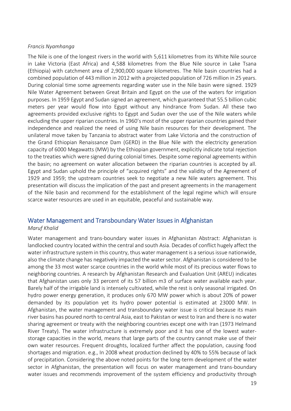#### *Francis Nyamhanga*

The Nile is one of the longest rivers in the world with 5,611 kilometres from its White Nile source in Lake Victoria (East Africa) and 4,588 kilometres from the Blue Nile source in Lake Tsana (Ethiopia) with catchment area of 2,900,000 square kilometres. The Nile basin countries had a combined population of 443 million in 2012 with a projected population of 726 million in 25 years. During colonial time some agreements regarding water use in the Nile basin were signed. 1929 Nile Water Agreement between Great Britain and Egypt on the use of the waters for irrigation purposes. In 1959 Egypt and Sudan signed an agreement, which guaranteed that 55.5 billion cubic meters per year would flow into Egypt without any hindrance from Sudan. All these two agreements provided exclusive rights to Egypt and Sudan over the use of the Nile waters while excluding the upper riparian countries. In 1960's most of the upper riparian countries gained their independence and realized the need of using Nile basin resources for their development. The unilateral move taken by Tanzania to abstract water from Lake Victoria and the construction of the Grand Ethiopian Renaissance Dam (GERD) in the Blue Nile with the electricity generation capacity of 6000 Megawatts (MW) by the Ethiopian government, explicitly indicate total rejection to the treaties which were signed during colonial times. Despite some regional agreements within the basin; no agreement on water allocation between the riparian countries is accepted by all. Egypt and Sudan uphold the principle of "acquired rights" and the validity of the Agreement of 1929 and 1959; the upstream countries seek to negotiate a new Nile waters agreement. This presentation will discuss the implication of the past and present agreements in the management of the Nile basin and recommend for the establishment of the legal regime which will ensure scarce water resources are used in an equitable, peaceful and sustainable way.

### Water Management and Transboundary Water Issues in Afghanistan

#### *Maruf Khalid*

Water management and trans-boundary water issues in Afghanistan Abstract: Afghanistan is landlocked country located within the central and south Asia. Decades of conflict hugely affect the water infrastructure system in this country, thus water management is a serious issue nationwide, also the climate change has negatively impacted the water sector. Afghanistan is considered to be among the 33 most water scarce countries in the world while most of its precious water flows to neighboring countries. A research by Afghanistan Research and Evaluation Unit (AREU) indicates that Afghanistan uses only 33 percent of its 57 billion m3 of surface water available each year. Barely half of the irrigable land is intensely cultivated, while the rest is only seasonal irrigated. On hydro power energy generation, it produces only 670 MW power which is about 20% of power demanded by its population yet its hydro power potential is estimated at 23000 MW. In Afghanistan, the water management and transboundary water issue is critical because its main river basins has poured north to central Asia, east to Pakistan or west to Iran and there is no water sharing agreement or treaty with the neighboring countries except one with Iran (1973 Helmand River Treaty). The water infrastructure is extremely poor and it has one of the lowest waterstorage capacities in the world, means that large parts of the country cannot make use of their own water resources. Frequent droughts, localized further affect the population, causing food shortages and migration. e.g., In 2008 wheat production declined by 40% to 55% because of lack of precipitation. Considering the above noted points for the long-term development of the water sector in Afghanistan, the presentation will focus on water management and trans-boundary water issues and recommends improvement of the system efficiency and productivity through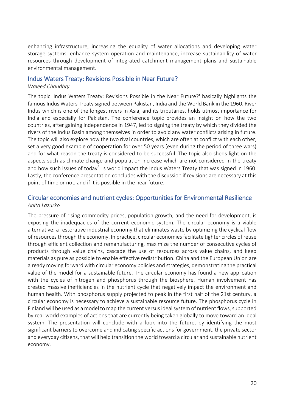enhancing infrastructure, increasing the equality of water allocations and developing water storage systems, enhance system operation and maintenance, increase sustainability of water resources through development of integrated catchment management plans and sustainable environmental management.

#### Indus Waters Treaty: Revisions Possible in Near Future?

#### *Waleed Chaudhry*

The topic 'Indus Waters Treaty: Revisions Possible in the Near Future?' basically highlights the famous Indus Waters Treaty signed between Pakistan, India and the World Bank in the 1960. River Indus which is one of the longest rivers in Asia, and its tributaries, holds utmost importance for India and especially for Pakistan. The conference topic provides an insight on how the two countries, after gaining independence in 1947, led to signing the treaty by which they divided the rivers of the Indus Basin among themselves in order to avoid any water conflicts arising in future. The topic will also explore how the two rival countries, which are often at conflict with each other, set a very good example of cooperation for over 50 years (even during the period of three wars) and for what reason the treaty is considered to be successful. The topic also sheds light on the aspects such as climate change and population increase which are not considered in the treaty and how such issues of today's world impact the Indus Waters Treaty that was signed in 1960. Lastly, the conference presentation concludes with the discussion if revisions are necessary at this point of time or not, and if it is possible in the near future.

#### Circular economies and nutrient cycles: Opportunities for Environmental Resilience *Anita Lazurko*

The pressure of rising commodity prices, population growth, and the need for development, is exposing the inadequacies of the current economic system. The circular economy is a viable alternative: a restorative industrial economy that eliminates waste by optimizing the cyclical flow of resources through the economy. In practice, circular economies facilitate tighter circles of reuse through efficient collection and remanufacturing, maximize the number of consecutive cycles of products through value chains, cascade the use of resources across value chains, and keep materials as pure as possible to enable effective redistribution. China and the European Union are already moving forward with circular economy policies and strategies, demonstrating the practical value of the model for a sustainable future. The circular economy has found a new application with the cycles of nitrogen and phosphorus through the biosphere. Human involvement has created massive inefficiencies in the nutrient cycle that negatively impact the environment and human health. With phosphorus supply projected to peak in the first half of the 21st century, a circular economy is necessary to achieve a sustainable resource future. The phosphorus cycle in Finland will be used as a model to map the current versus ideal system of nutrient flows, supported by real-world examples of actions that are currently being taken globally to move toward an ideal system. The presentation will conclude with a look into the future, by identifying the most significant barriers to overcome and indicating specific actions for government, the private sector and everyday citizens, that will help transition the world toward a circular and sustainable nutrient economy.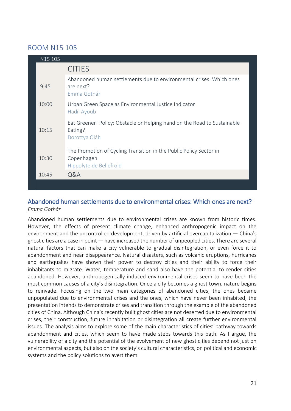### ROOM N15 105

| N15 105 |                                                                                                             |
|---------|-------------------------------------------------------------------------------------------------------------|
|         | <b>CITIES</b>                                                                                               |
| 9:45    | Abandoned human settlements due to environmental crises: Which ones<br>are next?<br>Emma Gothár             |
| 10:00   | Urban Green Space as Environmental Justice Indicator<br>Hadil Ayoub                                         |
| 10:15   | Eat Greener! Policy: Obstacle or Helping hand on the Road to Sustainable<br>Eating?<br>Dorottya Oláh        |
| 10:30   | The Promotion of Cycling Transition in the Public Policy Sector in<br>Copenhagen<br>Hippolyte de Bellefroid |
| 10:45   | Q&A                                                                                                         |
|         |                                                                                                             |

### Abandoned human settlements due to environmental crises: Which ones are next? *Emma Gothár*

Abandoned human settlements due to environmental crises are known from historic times. However, the effects of present climate change, enhanced anthropogenic impact on the environment and the uncontrolled development, driven by artificial overcapitalization — China's ghost cities are a case in point — have increased the number of unpeopled cities. There are several natural factors that can make a city vulnerable to gradual disintegration, or even force it to abandonment and near disappearance. Natural disasters, such as volcanic eruptions, hurricanes and earthquakes have shown their power to destroy cities and their ability to force their inhabitants to migrate. Water, temperature and sand also have the potential to render cities abandoned. However, anthropogenically induced environmental crises seem to have been the most common causes of a city's disintegration. Once a city becomes a ghost town, nature begins to reinvade. Focusing on the two main categories of abandoned cities, the ones became unpopulated due to environmental crises and the ones, which have never been inhabited, the presentation intends to demonstrate crises and transition through the example of the abandoned cities of China. Although China's recently built ghost cities are not deserted due to environmental crises, their construction, future inhabitation or disintegration all create further environmental issues. The analysis aims to explore some of the main characteristics of cities' pathway towards abandonment and cities, which seem to have made steps towards this path. As I argue, the vulnerability of a city and the potential of the evolvement of new ghost cities depend not just on environmental aspects, but also on the society's cultural characteristics, on political and economic systems and the policy solutions to avert them.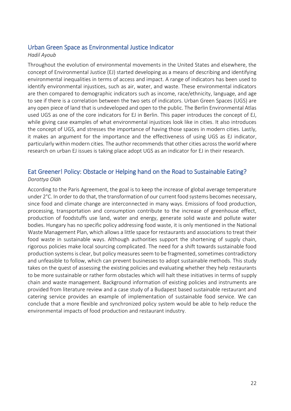#### Urban Green Space as Environmental Justice Indicator

#### *Hadil Ayoub*

Throughout the evolution of environmental movements in the United States and elsewhere, the concept of Environmental Justice (EJ) started developing as a means of describing and identifying environmental inequalities in terms of access and impact. A range of indicators has been used to identify environmental injustices, such as air, water, and waste. These environmental indicators are then compared to demographic indicators such as income, race/ethnicity, language, and age to see if there is a correlation between the two sets of indicators. Urban Green Spaces (UGS) are any open piece of land that is undeveloped and open to the public. The Berlin Environmental Atlas used UGS as one of the core indicators for EJ in Berlin. This paper introduces the concept of EJ, while giving case examples of what environmental injustices look like in cities. It also introduces the concept of UGS, and stresses the importance of having those spaces in modern cities. Lastly, it makes an argument for the importance and the effectiveness of using UGS as EJ indicator, particularly within modern cities. The author recommends that other cities across the world where research on urban EJ issues is taking place adopt UGS as an indicator for EJ in their research.

#### Eat Greener! Policy: Obstacle or Helping hand on the Road to Sustainable Eating? *Dorottya Oláh*

According to the Paris Agreement, the goal is to keep the increase of global average temperature under 2°C. In order to do that, the transformation of our current food systems becomes necessary, since food and climate change are interconnected in many ways. Emissions of food production, processing, transportation and consumption contribute to the increase of greenhouse effect, production of foodstuffs use land, water and energy, generate solid waste and pollute water bodies. Hungary has no specific policy addressing food waste, it is only mentioned in the National Waste Management Plan, which allows a little space for restaurants and associations to treat their food waste in sustainable ways. Although authorities support the shortening of supply chain, rigorous policies make local sourcing complicated. The need for a shift towards sustainable food production systems is clear, but policy measures seem to be fragmented, sometimes contradictory and unfeasible to follow, which can prevent businesses to adopt sustainable methods. This study takes on the quest of assessing the existing policies and evaluating whether they help restaurants to be more sustainable or rather form obstacles which will halt these initiatives in terms of supply chain and waste management. Background information of existing policies and instruments are provided from literature review and a case study of a Budapest based sustainable restaurant and catering service provides an example of implementation of sustainable food service. We can conclude that a more flexible and synchronized policy system would be able to help reduce the environmental impacts of food production and restaurant industry.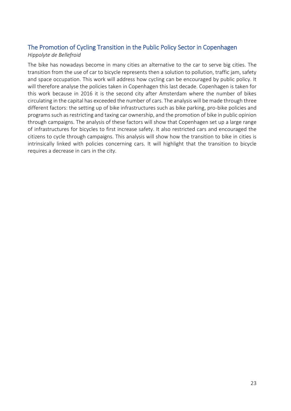#### The Promotion of Cycling Transition in the Public Policy Sector in Copenhagen *Hippolyte de Bellefroid*

The bike has nowadays become in many cities an alternative to the car to serve big cities. The transition from the use of car to bicycle represents then a solution to pollution, traffic jam, safety and space occupation. This work will address how cycling can be encouraged by public policy. It will therefore analyse the policies taken in Copenhagen this last decade. Copenhagen is taken for this work because in 2016 it is the second city after Amsterdam where the number of bikes circulating in the capital has exceeded the number of cars. The analysis will be made through three different factors: the setting up of bike infrastructures such as bike parking, pro-bike policies and programs such as restricting and taxing car ownership, and the promotion of bike in public opinion through campaigns. The analysis of these factors will show that Copenhagen set up a large range of infrastructures for bicycles to first increase safety. It also restricted cars and encouraged the citizens to cycle through campaigns. This analysis will show how the transition to bike in cities is intrinsically linked with policies concerning cars. It will highlight that the transition to bicycle requires a decrease in cars in the city.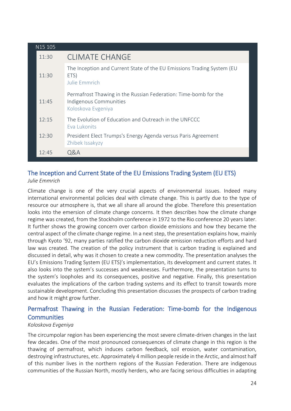| N <sub>15</sub> 105 |                                                                                                                 |
|---------------------|-----------------------------------------------------------------------------------------------------------------|
| 11:30               | <b>CLIMATE CHANGE</b>                                                                                           |
| 11:30               | The Inception and Current State of the EU Emissions Trading System (EU<br>ETS)<br>Julie Emmrich                 |
| 11:45               | Permafrost Thawing in the Russian Federation: Time-bomb for the<br>Indigenous Communities<br>Koloskova Evgeniya |
| 12:15               | The Evolution of Education and Outreach in the UNFCCC<br>Eva Lukonits                                           |
| 12:30               | President Elect Trumps's Energy Agenda versus Paris Agreement<br>Zhibek Issakyzy                                |
| 12:45               | <b>Q&amp;A</b>                                                                                                  |

#### The Inception and Current State of the EU Emissions Trading System (EU ETS) *Julie Emmrich*

Climate change is one of the very crucial aspects of environmental issues. Indeed many international environmental policies deal with climate change. This is partly due to the type of resource our atmosphere is, that we all share all around the globe. Therefore this presentation looks into the emersion of climate change concerns. It then describes how the climate change regime was created, from the Stockholm conference in 1972 to the Rio conference 20 years later. It further shows the growing concern over carbon dioxide emissions and how they became the central aspect of the climate change regime. In a next step, the presentation explains how, mainly through Kyoto '92, many parties ratified the carbon dioxide emission reduction efforts and hard law was created. The creation of the policy instrument that is carbon trading is explained and discussed in detail, why was it chosen to create a new commodity. The presentation analyses the EU's Emissions Trading System (EU ETS)'s implementation, its development and current states. It also looks into the system's successes and weaknesses. Furthermore, the presentation turns to the system's loopholes and its consequences, positive and negative. Finally, this presentation evaluates the implications of the carbon trading systems and its effect to transit towards more sustainable development. Concluding this presentation discusses the prospects of carbon trading and how it might grow further.

### Permafrost Thawing in the Russian Federation: Time-bomb for the Indigenous **Communities**

#### *Koloskova Evgeniya*

The circumpolar region has been experiencing the most severe climate-driven changes in the last few decades. One of the most pronounced consequences of climate change in this region is the thawing of permafrost, which induces carbon feedback, soil erosion, water contamination, destroying infrastructures, etc. Approximately 4 million people reside in the Arctic, and almost half of this number lives in the northern regions of the Russian Federation. There are indigenous communities of the Russian North, mostly herders, who are facing serious difficulties in adapting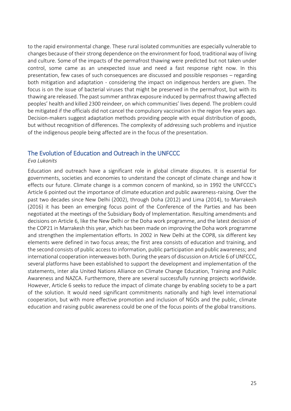to the rapid environmental change. These rural isolated communities are especially vulnerable to changes because of their strong dependence on the environment for food, traditional way of living and culture. Some of the impacts of the permafrost thawing were predicted but not taken under control, some came as an unexpected issue and need a fast response right now. In this presentation, few cases of such consequences are discussed and possible responses – regarding both mitigation and adaptation - considering the impact on indigenous herders are given. The focus is on the issue of bacterial viruses that might be preserved in the permafrost, but with its thawing are released. The past summer anthrax exposure induced by permafrost thawing affected peoples' health and killed 2300 reindeer, on which communities' lives depend. The problem could be mitigated if the officials did not cancel the compulsory vaccination in the region few years ago. Decision-makers suggest adaptation methods providing people with equal distribution of goods, but without recognition of differences. The complexity of addressing such problems and injustice of the indigenous people being affected are in the focus of the presentation.

#### The Evolution of Education and Outreach in the UNFCCC

#### *Eva Lukonits*

Education and outreach have a significant role in global climate disputes. It is essential for governments, societies and economies to understand the concept of climate change and how it effects our future. Climate change is a common concern of mankind, so in 1992 the UNFCCC's Article 6 pointed out the importance of climate education and public awareness-raising. Over the past two decades since New Delhi (2002), through Doha (2012) and Lima (2014), to Marrakesh (2016) it has been an emerging focus point of the Conference of the Parties and has been negotiated at the meetings of the Subsidiary Body of Implementation. Resulting amendments and decisions on Article 6, like the New Delhi or the Doha work programme, and the latest decision of the COP21 in Marrakesh this year, which has been made on improving the Doha work programme and strengthen the implementation efforts. In 2002 in New Delhi at the COP8, six different key elements were defined in two focus areas; the first area consists of education and training, and the second consists of public access to information, public participation and public awareness; and international cooperation interweaves both. During the years of discussion on Article 6 of UNFCCC, several platforms have been established to support the development and implementation of the statements, inter alia United Nations Alliance on Climate Change Education, Training and Public Awareness and NAZCA. Furthermore, there are several successfully running projects worldwide. However, Article 6 seeks to reduce the impact of climate change by enabling society to be a part of the solution. It would need significant commitments nationally and high level international cooperation, but with more effective promotion and inclusion of NGOs and the public, climate education and raising public awareness could be one of the focus points of the global transitions.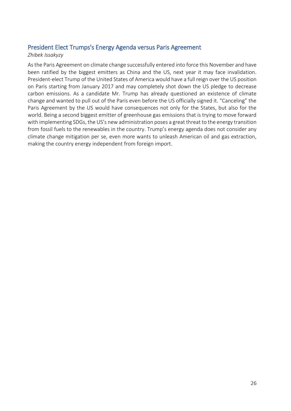### President Elect Trumps's Energy Agenda versus Paris Agreement

#### *Zhibek Issakyzy*

As the Paris Agreement on climate change successfully entered into force this November and have been ratified by the biggest emitters as China and the US, next year it may face invalidation. President-elect Trump of the United States of America would have a full reign over the US position on Paris starting from January 2017 and may completely shot down the US pledge to decrease carbon emissions. As a candidate Mr. Trump has already questioned an existence of climate change and wanted to pull out of the Paris even before the US officially signed it. "Canceling" the Paris Agreement by the US would have consequences not only for the States, but also for the world. Being a second biggest emitter of greenhouse gas emissions that is trying to move forward with implementing SDGs, the US's new administration poses a great threat to the energy transition from fossil fuels to the renewables in the country. Trump's energy agenda does not consider any climate change mitigation per se, even more wants to unleash American oil and gas extraction, making the country energy independent from foreign import.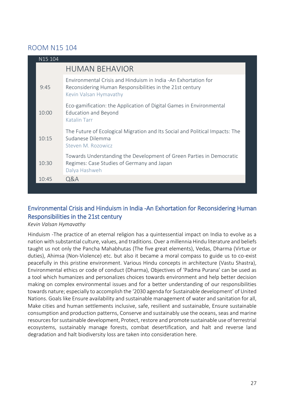### ROOM N15 104

| N15 104 |                                                                                                                                                      |
|---------|------------------------------------------------------------------------------------------------------------------------------------------------------|
|         | <b>HUMAN BEHAVIOR</b>                                                                                                                                |
| 9:45    | Environmental Crisis and Hinduism in India -An Exhortation for<br>Reconsidering Human Responsibilities in the 21st century<br>Kevin Valsan Hymavathy |
| 10:00   | Eco-gamification: the Application of Digital Games in Environmental<br><b>Education and Beyond</b><br><b>Katalin Tarr</b>                            |
| 10:15   | The Future of Ecological Migration and Its Social and Political Impacts: The<br>Sudanese Dilemma<br>Steven M. Rozowicz                               |
| 10:30   | Towards Understanding the Development of Green Parties in Democratic<br>Regimes: Case Studies of Germany and Japan<br>Dalya Hashweh                  |
| 10:45   | Q&A                                                                                                                                                  |

### Environmental Crisis and Hinduism in India -An Exhortation for Reconsidering Human Responsibilities in the 21st century

*Kevin Valsan Hymavathy* 

Hinduism -The practice of an eternal religion has a quintessential impact on India to evolve as a nation with substantial culture, values, and traditions. Over a millennia Hindu literature and beliefs taught us not only the Pancha Mahabhutas (The five great elements), Vedas, Dharma (Virtue or duties), Ahimsa (Non-Violence) etc. but also it became a moral compass to guide us to co-exist peacefully in this pristine environment. Various Hindu concepts in architecture (Vastu Shastra), Environmental ethics or code of conduct (Dharma), Objectives of 'Padma Purana' can be used as a tool which humanizes and personalizes choices towards environment and help better decision making on complex environmental issues and for a better understanding of our responsibilities towards nature; especially to accomplish the '2030 agenda for Sustainable development' of United Nations. Goals like Ensure availability and sustainable management of water and sanitation for all, Make cities and human settlements inclusive, safe, resilient and sustainable, Ensure sustainable consumption and production patterns, Conserve and sustainably use the oceans, seas and marine resources for sustainable development, Protect, restore and promote sustainable use of terrestrial ecosystems, sustainably manage forests, combat desertification, and halt and reverse land degradation and halt biodiversity loss are taken into consideration here.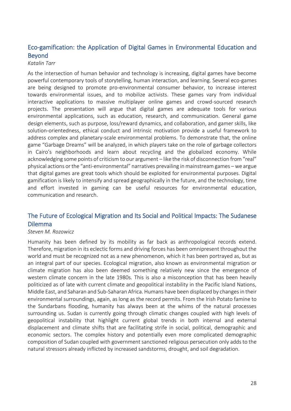### Eco-gamification: the Application of Digital Games in Environmental Education and Beyond

#### *Katalin Tarr*

As the intersection of human behavior and technology is increasing, digital games have become powerful contemporary tools of storytelling, human interaction, and learning. Several eco-games are being designed to promote pro-environmental consumer behavior, to increase interest towards environmental issues, and to mobilize activists. These games vary from individual interactive applications to massive multiplayer online games and crowd-sourced research projects. The presentation will argue that digital games are adequate tools for various environmental applications, such as education, research, and communication. General game design elements, such as purpose, loss/reward dynamics, and collaboration, and gamer skills, like solution-orientedness, ethical conduct and intrinsic motivation provide a useful framework to address complex and planetary-scale environmental problems. To demonstrate that, the online game "Garbage Dreams" will be analyzed, in which players take on the role of garbage collectors in Cairo's neighborhoods and learn about recycling and the globalized economy. While acknowledging some points of criticism to our argument – like the risk of disconnection from "real" physical actions or the "anti-environmental" narratives prevailing in mainstream games –we argue that digital games are great tools which should be exploited for environmental purposes. Digital gamification is likely to intensify and spread geographically in the future, and the technology, time and effort invested in gaming can be useful resources for environmental education, communication and research.

### The Future of Ecological Migration and Its Social and Political Impacts: The Sudanese Dilemma

#### *Steven M. Rozowicz*

Humanity has been defined by its mobility as far back as anthropological records extend. Therefore, migration in its eclectic forms and driving forces has been omnipresent throughout the world and must be recognized not as a new phenomenon, which it has been portrayed as, but as an integral part of our species. Ecological migration, also known as environmental migration or climate migration has also been deemed something relatively new since the emergence of western climate concern in the late 1980s. This is also a misconception that has been heavily politicized as of late with current climate and geopolitical instability in the Pacific Island Nations, Middle East, and Saharan and Sub-Saharan Africa. Humans have been displaced by changes in their environmental surroundings, again, as long as the record permits. From the Irish Potato famine to the Sundarbans flooding, humanity has always been at the whims of the natural processes surrounding us. Sudan is currently going through climatic changes coupled with high levels of geopolitical instability that highlight current global trends in both internal and external displacement and climate shifts that are facilitating strife in social, political, demographic and economic sectors. The complex history and potentially even more complicated demographic composition of Sudan coupled with government sanctioned religious persecution only adds to the natural stressors already inflicted by increased sandstorms, drought, and soil degradation.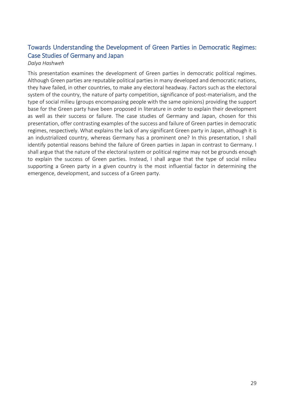### Towards Understanding the Development of Green Parties in Democratic Regimes: Case Studies of Germany and Japan

#### *Dalya Hashweh*

This presentation examines the development of Green parties in democratic political regimes. Although Green parties are reputable political parties in many developed and democratic nations, they have failed, in other countries, to make any electoral headway. Factors such as the electoral system of the country, the nature of party competition, significance of post-materialism, and the type of social milieu (groups encompassing people with the same opinions) providing the support base for the Green party have been proposed in literature in order to explain their development as well as their success or failure. The case studies of Germany and Japan, chosen for this presentation, offer contrasting examples of the success and failure of Green parties in democratic regimes, respectively. What explains the lack of any significant Green party in Japan, although it is an industrialized country, whereas Germany has a prominent one? In this presentation, I shall identify potential reasons behind the failure of Green parties in Japan in contrast to Germany. I shall argue that the nature of the electoral system or political regime may not be grounds enough to explain the success of Green parties. Instead, I shall argue that the type of social milieu supporting a Green party in a given country is the most influential factor in determining the emergence, development, and success of a Green party.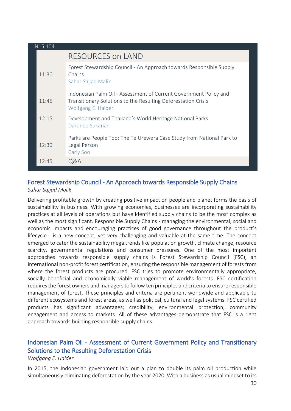| N15 104 |                                                                                                                                                          |
|---------|----------------------------------------------------------------------------------------------------------------------------------------------------------|
|         | RESOURCES on LAND                                                                                                                                        |
| 11:30   | Forest Stewardship Council - An Approach towards Responsible Supply<br>Chains<br>Sahar Sajjad Malik                                                      |
| 11:45   | Indonesian Palm Oil - Assessment of Current Government Policy and<br>Transitionary Solutions to the Resulting Deforestation Crisis<br>Wolfgang E. Haider |
| 12:15   | Development and Thailand's World Heritage National Parks<br>Darunee Sukanan                                                                              |
| 12:30   | Parks are People Too: The Te Urewera Case Study from National Park to<br>Legal Person<br>Carly Soo                                                       |
| 12:45   | Q&A                                                                                                                                                      |

#### Forest Stewardship Council - An Approach towards Responsible Supply Chains *Sahar Sajjad Malik*

Delivering profitable growth by creating positive impact on people and planet forms the basis of sustainability in business. With growing economies, businesses are incorporating sustainability practices at all levels of operations but have identified supply chains to be the most complex as well as the most significant. Responsible Supply Chains - managing the environmental, social and economic impacts and encouraging practices of good governance throughout the product's lifecycle - is a new concept, yet very challenging and valuable at the same time. The concept emerged to cater the sustainability mega trends like population growth, climate change, resource scarcity, governmental regulations and consumer pressures. One of the most important approaches towards responsible supply chains is Forest Stewardship Council (FSC), an international non-profit forest certification, ensuring the responsible management of forests from where the forest products are procured. FSC tries to promote environmentally appropriate, socially beneficial and economically viable management of world's forests. FSC certification requires the forest owners and managers to follow ten principles and criteria to ensure responsible management of forest. These principles and criteria are pertinent worldwide and applicable to different ecosystems and forest areas, as well as political, cultural and legal systems. FSC certified products has significant advantages; credibility, environmental protection, community engagement and access to markets. All of these advantages demonstrate that FSC is a right approach towards building responsible supply chains.

### Indonesian Palm Oil - Assessment of Current Government Policy and Transitionary Solutions to the Resulting Deforestation Crisis

#### *Wolfgang E. Haider*

In 2015, the Indonesian government laid out a plan to double its palm oil production while simultaneously eliminating deforestation by the year 2020. With a business as usual mindset to its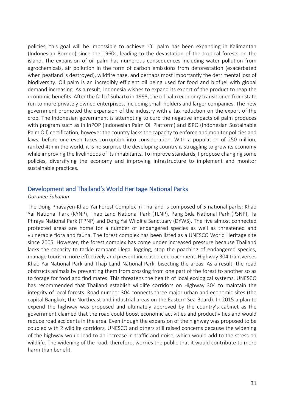policies, this goal will be impossible to achieve. Oil palm has been expanding in Kalimantan (Indonesian Borneo) since the 1960s, leading to the devastation of the tropical forests on the island. The expansion of oil palm has numerous consequences including water pollution from agrochemicals, air pollution in the form of carbon emissions from deforestation (exacerbated when peatland is destroyed), wildfire haze, and perhaps most importantly the detrimental loss of biodiversity. Oil palm is an incredibly efficient oil being used for food and biofuel with global demand increasing. As a result, Indonesia wishes to expand its export of the product to reap the economic benefits. After the fall of Suharto in 1998, the oil palm economy transitioned from state run to more privately owned enterprises, including small-holders and larger companies. The new government promoted the expansion of the industry with a tax reduction on the export of the crop. The Indonesian government is attempting to curb the negative impacts oil palm produces with program such as in InPOP (Indonesian Palm Oil Platform) and ISPO (Indonesian Sustainable Palm Oil) certification, however the country lacks the capacity to enforce and monitor policies and laws, before one even takes corruption into consideration. With a population of 250 million, ranked 4th in the world, it is no surprise the developing country is struggling to grow its economy while improving the livelihoods of its inhabitants. To improve standards, I propose changing some policies, diversifying the economy and improving infrastructure to implement and monitor sustainable practices.

#### Development and Thailand's World Heritage National Parks

#### *Darunee Sukanan*

The Dong Phayayen-Khao Yai Forest Complex in Thailand is composed of 5 national parks: Khao Yai National Park (KYNP), Thap Land National Park (TLNP), Pang Sida National Park (PSNP), Ta Phraya National Park (TPNP) and Dong Yai Wildlife Sanctuary (DYWS). The five almost connected protected areas are home for a number of endangered species as well as threatened and vulnerable flora and fauna. The forest complex has been listed as a UNESCO World Heritage site since 2005. However, the forest complex has come under increased pressure because Thailand lacks the capacity to tackle rampant illegal logging, stop the poaching of endangered species, manage tourism more effectively and prevent increased encroachment. Highway 304 transverses Khao Yai National Park and Thap Land National Park, bisecting the areas. As a result, the road obstructs animals by preventing them from crossing from one part of the forest to another so as to forage for food and find mates. This threatens the health of local ecological systems. UNESCO has recommended that Thailand establish wildlife corridors on Highway 304 to maintain the integrity of local forests. Road number 304 connects three major urban and economic sites (the capital Bangkok, the Northeast and industrial areas on the Eastern Sea Board). In 2015 a plan to expend the highway was proposed and ultimately approved by the country's cabinet as the government claimed that the road could boost economic activities and productivities and would reduce road accidents in the area. Even though the expansion of the highway was proposed to be coupled with 2 wildlife corridors, UNESCO and others still raised concerns because the widening of the highway would lead to an increase in traffic and noise, which would add to the stress on wildlife. The widening of the road, therefore, worries the public that it would contribute to more harm than benefit.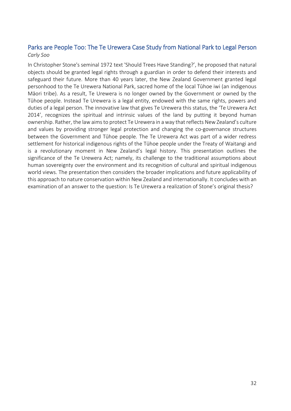### Parks are People Too: The Te Urewera Case Study from National Park to Legal Person *Carly Soo*

In Christopher Stone's seminal 1972 text 'Should Trees Have Standing?', he proposed that natural objects should be granted legal rights through a guardian in order to defend their interests and safeguard their future. More than 40 years later, the New Zealand Government granted legal personhood to the Te Urewera National Park, sacred home of the local Tūhoe iwi (an indigenous Māori tribe). As a result, Te Urewera is no longer owned by the Government or owned by the Tūhoe people. Instead Te Urewera is a legal entity, endowed with the same rights, powers and duties of a legal person. The innovative law that gives Te Urewera this status, the 'Te Urewera Act 2014', recognizes the spiritual and intrinsic values of the land by putting it beyond human ownership. Rather, the law aims to protect Te Urewera in a way that reflects New Zealand's culture and values by providing stronger legal protection and changing the co-governance structures between the Government and Tūhoe people. The Te Urewera Act was part of a wider redress settlement for historical indigenous rights of the Tūhoe people under the Treaty of Waitangi and is a revolutionary moment in New Zealand's legal history. This presentation outlines the significance of the Te Urewera Act; namely, its challenge to the traditional assumptions about human sovereignty over the environment and its recognition of cultural and spiritual indigenous world views. The presentation then considers the broader implications and future applicability of this approach to nature conservation within New Zealand and internationally. It concludes with an examination of an answer to the question: Is Te Urewera a realization of Stone's original thesis?